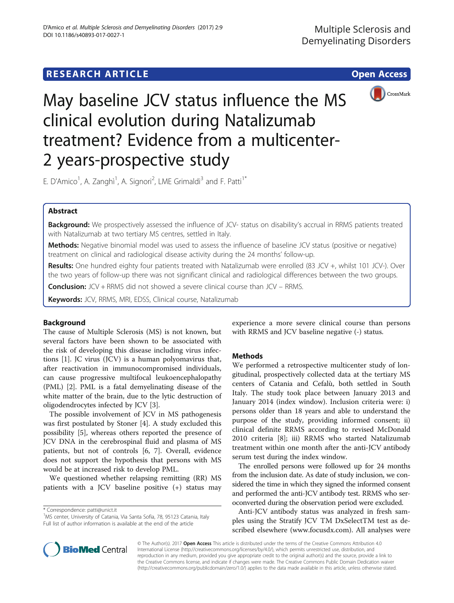# **RESEARCH ARTICLE Example 2014 12:30 The Contract of Contract ACCESS**



May baseline JCV status influence the MS clinical evolution during Natalizumab treatment? Evidence from a multicenter-2 years-prospective study

E. D'Amico<sup>1</sup>, A. Zanghì<sup>1</sup>, A. Signori<sup>2</sup>, LME Grimaldi<sup>3</sup> and F. Patti<sup>1\*</sup>

# Abstract

Background: We prospectively assessed the influence of JCV- status on disability's accrual in RRMS patients treated with Natalizumab at two tertiary MS centres, settled in Italy.

Methods: Negative binomial model was used to assess the influence of baseline JCV status (positive or negative) treatment on clinical and radiological disease activity during the 24 months' follow-up.

Results: One hundred eighty four patients treated with Natalizumab were enrolled (83 JCV +, whilst 101 JCV-). Over the two years of follow-up there was not significant clinical and radiological differences between the two groups.

**Conclusion:** JCV + RRMS did not showed a severe clinical course than JCV – RRMS.

Keywords: JCV, RRMS, MRI, EDSS, Clinical course, Natalizumab

# Background

The cause of Multiple Sclerosis (MS) is not known, but several factors have been shown to be associated with the risk of developing this disease including virus infections [[1\]](#page-2-0). JC virus (JCV) is a human polyomavirus that, after reactivation in immunocompromised individuals, can cause progressive multifocal leukoencephalopathy (PML) [[2](#page-2-0)]. PML is a fatal demyelinating disease of the white matter of the brain, due to the lytic destruction of oligodendrocytes infected by JCV [[3\]](#page-2-0).

The possible involvement of JCV in MS pathogenesis was first postulated by Stoner [[4\]](#page-2-0). A study excluded this possibility [[5\]](#page-2-0), whereas others reported the presence of JCV DNA in the cerebrospinal fluid and plasma of MS patients, but not of controls [[6, 7](#page-2-0)]. Overall, evidence does not support the hypothesis that persons with MS would be at increased risk to develop PML.

We questioned whether relapsing remitting (RR) MS patients with a JCV baseline positive (+) status may

<sup>1</sup>MS center, University of Catania, Via Santa Sofia, 78, 95123 Catania, Italy Full list of author information is available at the end of the article

experience a more severe clinical course than persons with RRMS and JCV baseline negative (-) status.

# **Methods**

We performed a retrospective multicenter study of longitudinal, prospectively collected data at the tertiary MS centers of Catania and Cefalù, both settled in South Italy. The study took place between January 2013 and January 2014 (index window). Inclusion criteria were: i) persons older than 18 years and able to understand the purpose of the study, providing informed consent; ii) clinical definite RRMS according to revised McDonald 2010 criteria [\[8](#page-2-0)]; iii) RRMS who started Natalizumab treatment within one month after the anti-JCV antibody serum test during the index window.

The enrolled persons were followed up for 24 months from the inclusion date. As date of study inclusion, we considered the time in which they signed the informed consent and performed the anti-JCV antibody test. RRMS who seroconverted during the observation period were excluded.

Anti-JCV antibody status was analyzed in fresh samples using the Stratify JCV TM DxSelectTM test as described elsewhere ([www.focusdx.com](http://www.focusdx.com)). All analyses were



© The Author(s). 2017 **Open Access** This article is distributed under the terms of the Creative Commons Attribution 4.0 International License [\(http://creativecommons.org/licenses/by/4.0/](http://creativecommons.org/licenses/by/4.0/)), which permits unrestricted use, distribution, and reproduction in any medium, provided you give appropriate credit to the original author(s) and the source, provide a link to the Creative Commons license, and indicate if changes were made. The Creative Commons Public Domain Dedication waiver [\(http://creativecommons.org/publicdomain/zero/1.0/](http://creativecommons.org/publicdomain/zero/1.0/)) applies to the data made available in this article, unless otherwise stated.

<sup>\*</sup> Correspondence: [patti@unict.it](mailto:patti@unict.it) <sup>1</sup>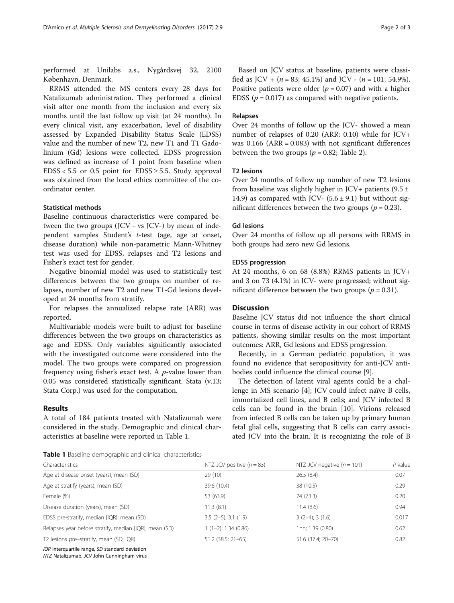performed at Unilabs a.s., Nygårdsvej 32, 2100 København, Denmark.

RRMS attended the MS centers every 28 days for Natalizumab administration. They performed a clinical visit after one month from the inclusion and every six months until the last follow up visit (at 24 months). In every clinical visit, any exacerbation, level of disability assessed by Expanded Disability Status Scale (EDSS) value and the number of new T2, new T1 and T1 Gadolinium (Gd) lesions were collected. EDSS progression was defined as increase of 1 point from baseline when  $EDSS < 5.5$  or 0.5 point for  $EDSS \ge 5.5$ . Study approval was obtained from the local ethics committee of the coordinator center.

# Statistical methods

Baseline continuous characteristics were compared between the two groups  $(JCV + vs \ JCV)$  by mean of independent samples Student's t-test (age, age at onset, disease duration) while non-parametric Mann-Whitney test was used for EDSS, relapses and T2 lesions and Fisher's exact test for gender.

Negative binomial model was used to statistically test differences between the two groups on number of relapses, number of new T2 and new T1-Gd lesions developed at 24 months from stratify.

For relapses the annualized relapse rate (ARR) was reported.

Multivariable models were built to adjust for baseline differences between the two groups on characteristics as age and EDSS. Only variables significantly associated with the investigated outcome were considered into the model. The two groups were compared on progression frequency using fisher's exact test. A  $p$ -value lower than 0.05 was considered statistically significant. Stata (v.13; Stata Corp.) was used for the computation.

# Results

A total of 184 patients treated with Natalizumab were considered in the study. Demographic and clinical characteristics at baseline were reported in Table 1.

Based on JCV status at baseline, patients were classified as JCV +  $(n = 83; 45.1\%)$  and JCV -  $(n = 101; 54.9\%).$ Positive patients were older ( $p = 0.07$ ) and with a higher EDSS ( $p = 0.017$ ) as compared with negative patients.

### Relapses

Over 24 months of follow up the JCV- showed a mean number of relapses of 0.20 (ARR: 0.10) while for JCV+ was  $0.166$  (ARR =  $0.083$ ) with not significant differences between the two groups ( $p = 0.82$ ; Table [2\)](#page-2-0).

# T2 lesions

Over 24 months of follow up number of new T2 lesions from baseline was slightly higher in JCV+ patients  $(9.5 \pm 1)$ 14.9) as compared with JCV-  $(5.6 \pm 9.1)$  but without significant differences between the two groups ( $p = 0.23$ ).

### Gd lesions

Over 24 months of follow up all persons with RRMS in both groups had zero new Gd lesions.

### EDSS progression

At 24 months, 6 on 68 (8.8%) RRMS patients in JCV+ and 3 on 73 (4.1%) in JCV- were progressed; without significant difference between the two groups ( $p = 0.31$ ).

# **Discussion**

Baseline JCV status did not influence the short clinical course in terms of disease activity in our cohort of RRMS patients, showing similar results on the most important outcomes: ARR, Gd lesions and EDSS progression.

Recently, in a German pediatric population, it was found no evidence that seropositivity for anti-JCV antibodies could influence the clinical course [\[9](#page-2-0)].

The detection of latent viral agents could be a challenge in MS scenario [[4\]](#page-2-0); JCV could infect naïve B cells, immortalized cell lines, and B cells; and JCV infected B cells can be found in the brain [[10](#page-2-0)]. Virions released from infected B cells can be taken up by primary human fetal glial cells, suggesting that B cells can carry associated JCV into the brain. It is recognizing the role of B

|  |  | Table 1 Baseline demographic and clinical characteristics |  |  |
|--|--|-----------------------------------------------------------|--|--|
|--|--|-----------------------------------------------------------|--|--|

| <b>TWAIS I</b> DUSCIMIC OCTTOGRAPHIC and Chinear Characteristics |                             |                              |            |  |  |  |
|------------------------------------------------------------------|-----------------------------|------------------------------|------------|--|--|--|
| Characteristics                                                  | NTZ-JCV positive $(n = 83)$ | NTZ-JCV negative $(n = 101)$ | $P$ -value |  |  |  |
| Age at disease onset (years), mean (SD)                          | 29(10)                      | 26.5(8.4)                    | 0.07       |  |  |  |
| Age at stratify (years), mean (SD)                               | 39.6 (10.4)                 | 38 (10.5)                    | 0.29       |  |  |  |
| Female (%)                                                       | 53 (63.9)                   | 74 (73.3)                    | 0.20       |  |  |  |
| Disease duration (years), mean (SD)                              | 11.3(8.1)                   | 11.4(8.6)                    | 0.94       |  |  |  |
| EDSS pre-stratify, median [IQR]; mean (SD)                       | $3.5$ (2-5); $3.1$ (1.9)    | $3(2-4)$ ; $3(1.6)$          | 0.017      |  |  |  |
| Relapses year before stratify, median [IQR]; mean (SD)           | $1(1-2)$ ; 1.34 (0.86)      | 1nn; 1.39 (0.80)             | 0.62       |  |  |  |
| T2 lesions pre-stratify, mean (SD; IQR)                          | $51.2$ (38.5; 21-65)        | 51.6 (37.4; 20-70)           | 0.82       |  |  |  |

IQR interquartile range, SD standard deviation

NTZ Natalizumab, JCV John Cunningham virus